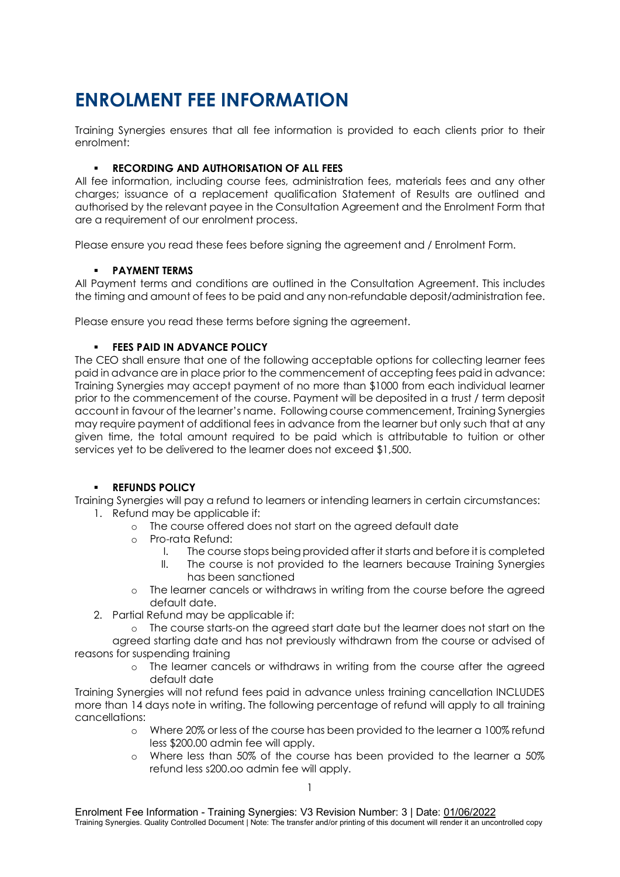# **ENROLMENT FEE INFORMATION**

Training Synergies ensures that all fee information is provided to each clients prior to their enrolment:

## **RECORDING AND AUTHORISATION OF ALL FEES**

All fee information, including course fees, administration fees, materials fees and any other charges; issuance of a replacement qualification Statement of Results are outlined and authorised by the relevant payee in the Consultation Agreement and the Enrolment Form that are a requirement of our enrolment process.

Please ensure you read these fees before signing the agreement and / Enrolment Form.

## **PAYMENT TERMS**

All Payment terms and conditions are outlined in the Consultation Agreement. This includes the timing and amount of fees to be paid and any non-refundable deposit/administration fee.

Please ensure you read these terms before signing the agreement.

### **FEES PAID IN ADVANCE POLICY**

The CEO shall ensure that one of the following acceptable options for collecting learner fees paid in advance are in place prior to the commencement of accepting fees paid in advance: Training Synergies may accept payment of no more than \$1000 from each individual learner prior to the commencement of the course. Payment will be deposited in a trust / term deposit account in favour of the learner's name. Following course commencement, Training Synergies may require payment of additional fees in advance from the learner but only such that at any given time, the total amount required to be paid which is attributable to tuition or other services yet to be delivered to the learner does not exceed \$1,500.

### **REFUNDS POLICY**

Training Synergies will pay a refund to learners or intending learners in certain circumstances: 1. Refund may be applicable if:

- o The course offered does not start on the agreed default date
- o Pro-rata Refund:<br>I The cours
	- The course stops being provided after it starts and before it is completed
	- II. The course is not provided to the learners because Training Synergies has been sanctioned
- o The learner cancels or withdraws in writing from the course before the agreed default date.
- 2. Partial Refund may be applicable if:
- o The course starts-on the agreed start date but the learner does not start on the agreed starting date and has not previously withdrawn from the course or advised of
- reasons for suspending training
	- o The learner cancels or withdraws in writing from the course after the agreed default date

Training Synergies will not refund fees paid in advance unless training cancellation INCLUDES more than 14 days note in writing. The following percentage of refund will apply to all training cancellations:

- o Where 20% or less of the course has been provided to the learner a 100% refund less \$200.00 admin fee will apply.
- Where less than 50% of the course has been provided to the learner a 50% refund less s200.oo admin fee will apply.